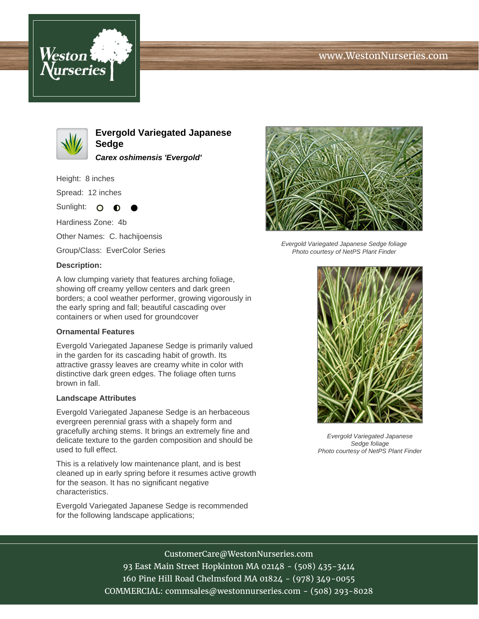# www.WestonNurseries.com





**Evergold Variegated Japanese Sedge Carex oshimensis 'Evergold'**

Height: 8 inches

Spread: 12 inches

Sunlight: O  $\bullet$ 

Hardiness Zone: 4b

Other Names: C. hachijoensis

Group/Class: EverColor Series

#### **Description:**

A low clumping variety that features arching foliage, showing off creamy yellow centers and dark green borders; a cool weather performer, growing vigorously in the early spring and fall; beautiful cascading over containers or when used for groundcover

#### **Ornamental Features**

Evergold Variegated Japanese Sedge is primarily valued in the garden for its cascading habit of growth. Its attractive grassy leaves are creamy white in color with distinctive dark green edges. The foliage often turns brown in fall.

#### **Landscape Attributes**

Evergold Variegated Japanese Sedge is an herbaceous evergreen perennial grass with a shapely form and gracefully arching stems. It brings an extremely fine and delicate texture to the garden composition and should be used to full effect.

This is a relatively low maintenance plant, and is best cleaned up in early spring before it resumes active growth for the season. It has no significant negative characteristics.

Evergold Variegated Japanese Sedge is recommended for the following landscape applications;



Evergold Variegated Japanese Sedge foliage Photo courtesy of NetPS Plant Finder



Evergold Variegated Japanese Sedge foliage Photo courtesy of NetPS Plant Finder

## CustomerCare@WestonNurseries.com

93 East Main Street Hopkinton MA 02148 - (508) 435-3414 160 Pine Hill Road Chelmsford MA 01824 - (978) 349-0055 COMMERCIAL: commsales@westonnurseries.com - (508) 293-8028